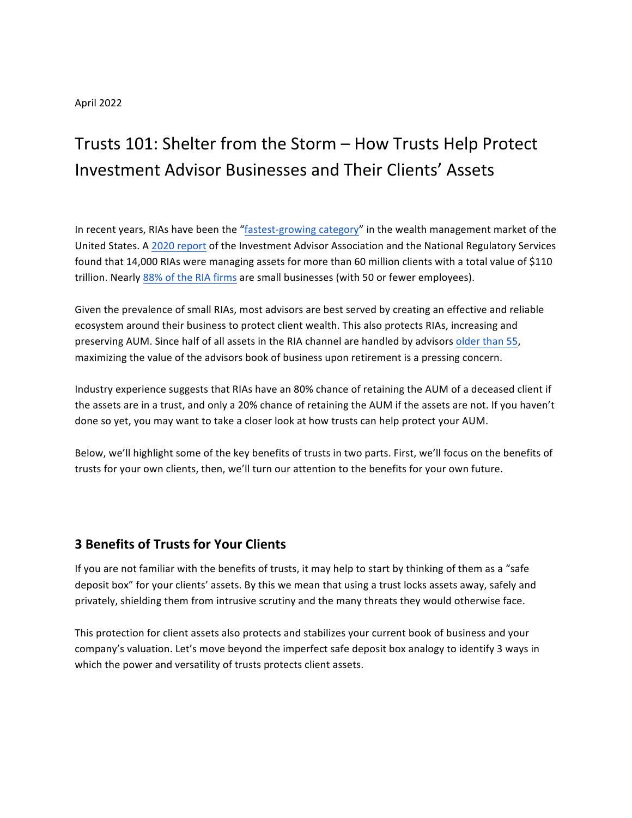#### April 2022

# Trusts 101: Shelter from the Storm – How Trusts Help Protect Investment Advisor Businesses and Their Clients' Assets

In recent years, RIAs have been the "fastest-growing category" in the wealth management market of the United States. A 2020 [report](https://www.fa-mag.com/news/ria-firms-top-record--110t-aum--60-million-clients--iaa-reports-62858.html) of the Investment Advisor Association and the National Regulatory Services found that 14,000 RIAs were managing assets for more than 60 million clients with a total value of \$110 trillion. Nearly 88% of the RIA firms are small businesses (with 50 or fewer employees).

Given the prevalence of small RIAs, most advisors are best served by creating an effective and reliable ecosystem around their business to protect client wealth. This also protects RIAs, increasing and preserving AUM. Since half of all assets in the RIA channel are handled by advisors older than 55, maximizing the value of the advisors book of business upon retirement is a pressing concern.

Industry experience suggests that RIAs have an 80% chance of retaining the AUM of a deceased client if the assets are in a trust, and only a 20% chance of retaining the AUM if the assets are not. If you haven't done so yet, you may want to take a closer look at how trusts can help protect your AUM.

Below, we'll highlight some of the key benefits of trusts in two parts. First, we'll focus on the benefits of trusts for your own clients, then, we'll turn our attention to the benefits for your own future.

## **3 Benefits of Trusts for Your Clients**

If you are not familiar with the benefits of trusts, it may help to start by thinking of them as a "safe deposit box" for your clients' assets. By this we mean that using a trust locks assets away, safely and privately, shielding them from intrusive scrutiny and the many threats they would otherwise face.

This protection for client assets also protects and stabilizes your current book of business and your company's valuation. Let's move beyond the imperfect safe deposit box analogy to identify 3 ways in which the power and versatility of trusts protects client assets.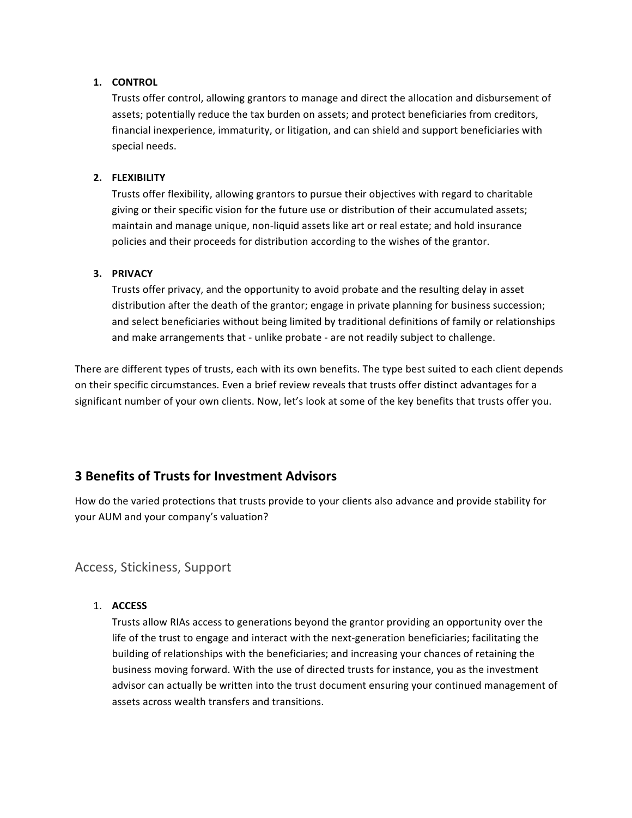#### **1. CONTROL**

Trusts offer control, allowing grantors to manage and direct the allocation and disbursement of assets; potentially reduce the tax burden on assets; and protect beneficiaries from creditors, financial inexperience, immaturity, or litigation, and can shield and support beneficiaries with special needs.

## **2. FLEXIBILITY**

Trusts offer flexibility, allowing grantors to pursue their objectives with regard to charitable giving or their specific vision for the future use or distribution of their accumulated assets; maintain and manage unique, non-liquid assets like art or real estate; and hold insurance policies and their proceeds for distribution according to the wishes of the grantor.

## **3. PRIVACY**

Trusts offer privacy, and the opportunity to avoid probate and the resulting delay in asset distribution after the death of the grantor; engage in private planning for business succession; and select beneficiaries without being limited by traditional definitions of family or relationships and make arrangements that - unlike probate - are not readily subject to challenge.

There are different types of trusts, each with its own benefits. The type best suited to each client depends on their specific circumstances. Even a brief review reveals that trusts offer distinct advantages for a significant number of your own clients. Now, let's look at some of the key benefits that trusts offer you.

## **3 Benefits of Trusts for Investment Advisors**

How do the varied protections that trusts provide to your clients also advance and provide stability for your AUM and your company's valuation?

## Access, Stickiness, Support

## 1. **ACCESS**

Trusts allow RIAs access to generations beyond the grantor providing an opportunity over the life of the trust to engage and interact with the next-generation beneficiaries; facilitating the building of relationships with the beneficiaries; and increasing your chances of retaining the business moving forward. With the use of directed trusts for instance, you as the investment advisor can actually be written into the trust document ensuring your continued management of assets across wealth transfers and transitions.